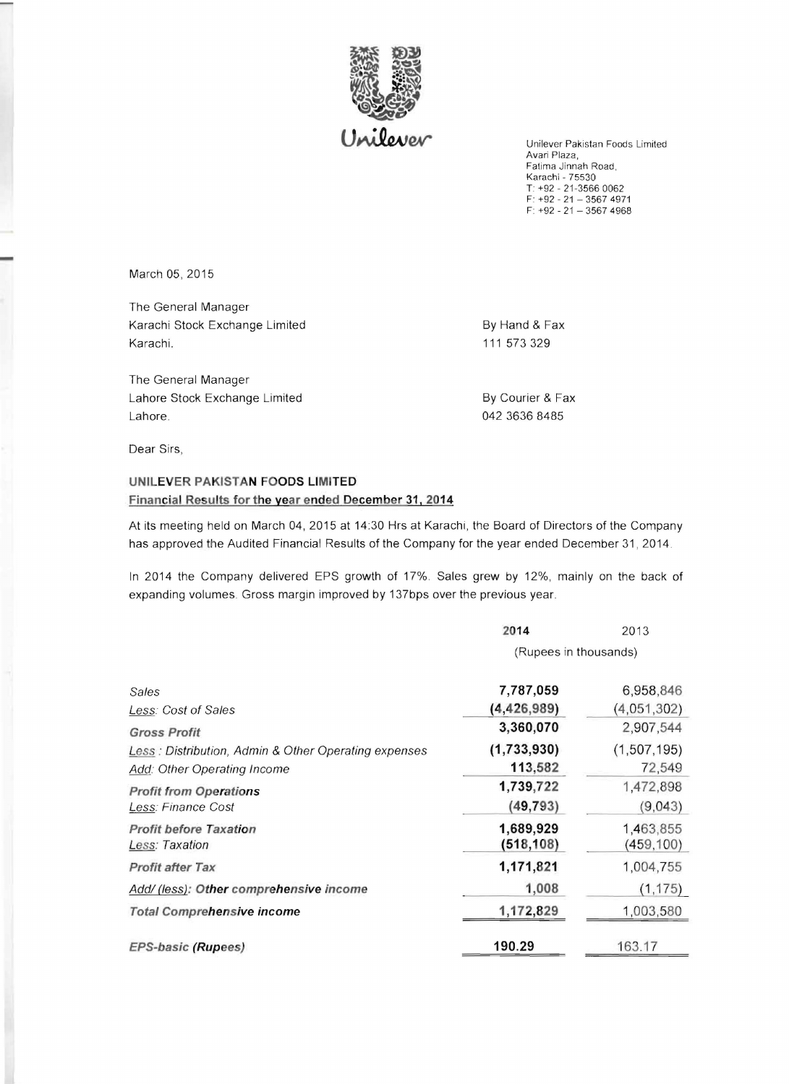

Unilever Pakistan Foods Limited Avari Plaza, Fatima Jinnah Road, Karachi - 75530  $T: +92 - 21 - 356600062$ F: +92 - 21 - 3567 4971  $F: +92 - 21 - 3567$  4968

March 05, 2015

The General Manager Karachi Stock Exchange Limited By Hand & Fax Karachi. 111 573 329

The General Manager Lahore Stock Exchange Limited **By Courier & Fax** Lahore. 042 3636 8485

Dear Sirs,

## **UNILEVER PAKISTAN FOODS LIMITED Financial Results for the year ended December 31, 2014**

At its meeting held on March 04, 2015 at 14:30 Hrs at Karachi, the Board of Directors of the Company has approved the Audited Financial Results of the Company for the year ended December 31, 2014.

In 2014 the Company delivered EPS growth of 17%. Sales grew by 12%, mainly on the back of expanding volumes. Gross margin improved by 137bps over the previous year.

|                                                      | 2014                  | 2013          |
|------------------------------------------------------|-----------------------|---------------|
|                                                      | (Rupees in thousands) |               |
| Sales                                                | 7,787,059             | 6,958,846     |
| Less: Cost of Sales                                  | (4, 426, 989)         | (4,051,302)   |
| <b>Gross Profit</b>                                  | 3,360,070             | 2,907,544     |
| Less: Distribution, Admin & Other Operating expenses | (1,733,930)           | (1, 507, 195) |
| Add: Other Operating Income                          | 113,582               | 72,549        |
| <b>Profit from Operations</b>                        | 1,739,722             | 1,472,898     |
| Less: Finance Cost                                   | (49, 793)             | (9,043)       |
| <b>Profit before Taxation</b>                        | 1,689,929             | 1,463,855     |
| Less: Taxation                                       | (518, 108)            | (459, 100)    |
| <b>Profit after Tax</b>                              | 1,171,821             | 1,004,755     |
| Add/ (less): Other comprehensive income              | 1,008                 | (1, 175)      |
| <b>Total Comprehensive income</b>                    | 1,172,829             | 1,003,580     |
| <b>EPS-basic (Rupees)</b>                            | 190.29                | 163.17        |